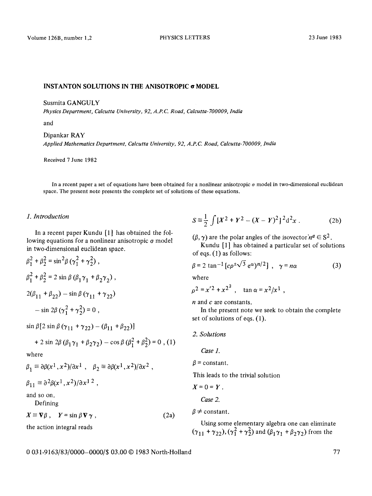### **INSTANTON SOLUTIONS IN THE ANISOTROPIC**  $\sigma$  **MODEL**

Susmita GANGULY

*Physics Department, Calcutta University, 92, A.P. C. Road, Calcutta-700009, India* 

and

Dipankar RAY *Applied Mathematics Department, Calcutta University, 92, A.P.C. Road, Calcutta-700009, India* 

Received 7 June 1982

In a recent paper a set of equations have been obtained for a nonlinear anisotropic o model in two-dimensional euclidean space. The present note presents the complete set of solutions of these equations.

### *1. Introduction*

In a recent paper Kundu [1] has obtained the following equations for a nonlinear anisotropic  $\sigma$  model in two-dimensional euclidean space.

$$
\beta_1^2 + \beta_2^2 = \sin^2 \beta (\gamma_1^2 + \gamma_2^2),
$$
  
\n
$$
\beta_1^2 + \beta_2^2 = 2 \sin \beta (\beta_1 \gamma_1 + \beta_2 \gamma_2),
$$
  
\n
$$
2(\beta_{11} + \beta_{22}) - \sin \beta (\gamma_{11} + \gamma_{22}) - \sin 2\beta (\gamma_1^2 + \gamma_2^2) = 0,
$$

 $\sin \beta [2 \sin \beta (\gamma_{11} + \gamma_{22}) - (\beta_{11} + \beta_{22})]$ 

+ 2 sin 2
$$
\beta
$$
 ( $\beta_1 \gamma_1 + \beta_2 \gamma_2$ ) – cos  $\beta$  ( $\beta_1^2 + \beta_2^2$ ) = 0, (1)

where

$$
\beta_1 \equiv \partial \beta(x^1, x^2)/\partial x^1 , \quad \beta_2 \equiv \partial \beta(x^1, x^2)/\partial x^2 ,
$$

 $\beta_{11} \equiv \partial^2 \beta(x^1, x^2)/\partial x^{12}$ ,

and so on.

Defining

 $X \equiv \nabla \beta$ ,  $Y = \sin \beta \nabla \gamma$ , (2a)

the action integral reads

$$
S = \frac{1}{2} \int [X^2 + Y^2 - (X - Y)^2]^2 d^2 x . \tag{2b}
$$

 $(\beta, \gamma)$  are the polar angles of the isovector' $n^a \in S^2$ .

Kundu [1] has obtained a particular set of solutions of eqs. (1) as follows:

$$
\beta = 2 \tan^{-1} \left[ c \rho^{\pm} \sqrt{3} e^{\alpha} \right]^{n/2}, \quad \gamma = n\alpha \tag{3}
$$

where

$$
\rho^2 = x'^2 + x^{2^2} , \quad \tan \alpha = x^2/x^1 ,
$$

n and c are constants.

In the present note we seek to obtain the complete set of solutions of eqs. (1).

# *2. Solutions*

*Case 1.* 

 $\beta$  = constant.

This leads to the trivial solution

 $X=0=Y$ .

*Case 2.* 

 $\beta \neq$  constant.

Using some elementary algebra one can eliminate  $(\gamma_{11} + \gamma_{22}), (\gamma_1^2 + \gamma_2^2)$  and  $(\beta_1 \gamma_1 + \beta_2 \gamma_2)$  from the